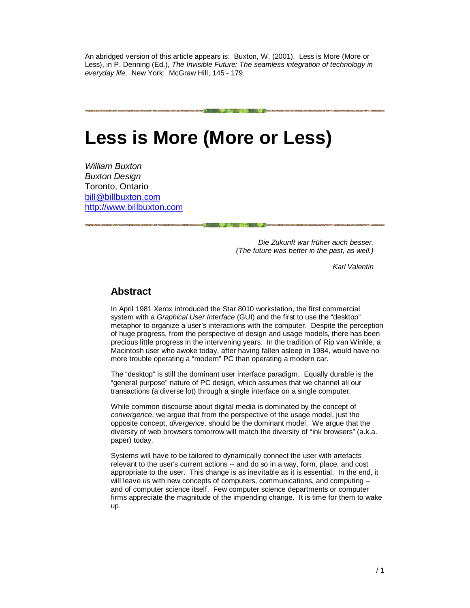An abridged version of this article appears is: Buxton, W. (2001). Less is More (More or Less), in P. Denning (Ed.), *The Invisible Future: The seamless integration of technology in everyday life*. New York: McGraw Hill, 145 - 179.

# **Less is More (More or Less)**

*William Buxton Buxton Design* Toronto, Ontario [bill@billbuxton.com](mailto:bill@billbuxton.com) <http://www.billbuxton.com>

> *Die Zukunft war früher auch besser. (The future was better in the past, as well.)*

> > *Karl Valentin*

#### **Abstract**

In April 1981 Xerox introduced the Star 8010 workstation, the first commercial system with a *Graphical User Interface* (GUI) and the first to use the "desktop" metaphor to organize a user's interactions with the computer. Despite the perception of huge progress, from the perspective of design and usage models, there has been precious little progress in the intervening years. In the tradition of Rip van Winkle, a Macintosh user who awoke today, after having fallen asleep in 1984, would have no more trouble operating a "modern" PC than operating a modern car.

The "desktop" is still the dominant user interface paradigm. Equally durable is the "general purpose" nature of PC design, which assumes that we channel all our transactions (a diverse lot) through a single interface on a single computer.

While common discourse about digital media is dominated by the concept of *convergence*, we argue that from the perspective of the usage model, just the opposite concept, *divergence,* should be the dominant model. We argue that the diversity of web browsers tomorrow will match the diversity of "ink browsers" (a.k.a. paper) today.

Systems will have to be tailored to dynamically connect the user with artefacts relevant to the user's current actions -- and do so in a way, form, place, and cost appropriate to the user. This change is as inevitable as it is essential. In the end, it will leave us with new concepts of computers, communications, and computing -and of computer science itself. Few computer science departments or computer firms appreciate the magnitude of the impending change. It is time for them to wake up.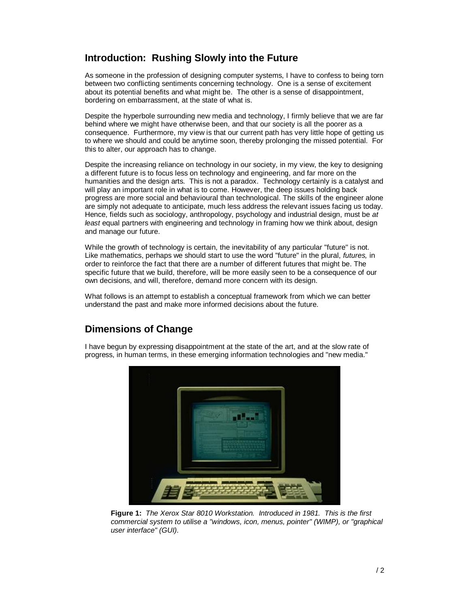# **Introduction: Rushing Slowly into the Future**

As someone in the profession of designing computer systems, I have to confess to being torn between two conflicting sentiments concerning technology. One is a sense of excitement about its potential benefits and what might be. The other is a sense of disappointment, bordering on embarrassment, at the state of what is.

Despite the hyperbole surrounding new media and technology, I firmly believe that we are far behind where we might have otherwise been, and that our society is all the poorer as a consequence. Furthermore, my view is that our current path has very little hope of getting us to where we should and could be anytime soon, thereby prolonging the missed potential. For this to alter, our approach has to change.

Despite the increasing reliance on technology in our society, in my view, the key to designing a different future is to focus less on technology and engineering, and far more on the humanities and the design arts. This is not a paradox. Technology certainly is a catalyst and will play an important role in what is to come. However, the deep issues holding back progress are more social and behavioural than technological. The skills of the engineer alone are simply not adequate to anticipate, much less address the relevant issues facing us today. Hence, fields such as sociology, anthropology, psychology and industrial design, must be *at least* equal partners with engineering and technology in framing how we think about, design and manage our future.

While the growth of technology is certain, the inevitability of any particular "future" is not. Like mathematics, perhaps we should start to use the word "future" in the plural, *futures,* in order to reinforce the fact that there are a number of different futures that might be. The specific future that we build, therefore, will be more easily seen to be a consequence of our own decisions, and will, therefore, demand more concern with its design.

What follows is an attempt to establish a conceptual framework from which we can better understand the past and make more informed decisions about the future.

# **Dimensions of Change**

I have begun by expressing disappointment at the state of the art, and at the slow rate of progress, in human terms, in these emerging information technologies and "new media."



**Figure 1:** *The Xerox Star 8010 Workstation. Introduced in 1981. This is the first commercial system to utilise a "windows, icon, menus, pointer" (WIMP), or "graphical user interface" (GUI).*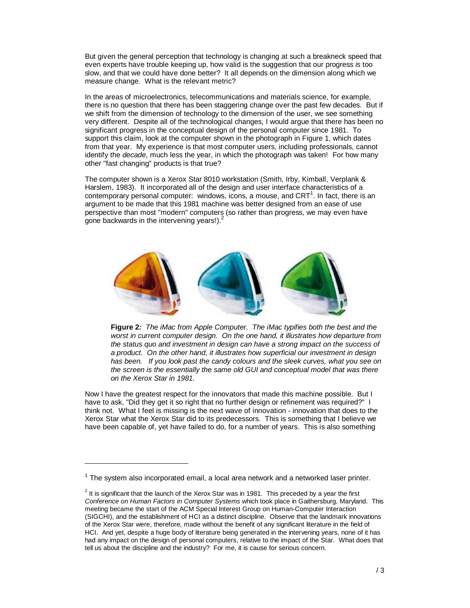But given the general perception that technology is changing at such a breakneck speed that even experts have trouble keeping up, how valid is the suggestion that our progress *is* too slow, and that we could have done better? It all depends on the dimension along which we measure change. What is the relevant metric?

In the areas of microelectronics, telecommunications and materials science, for example, there is no question that there has been staggering change over the past few decades. But if we shift from the dimension of technology to the dimension of the user, we see something very different. Despite all of the technological changes, I would argue that there has been no significant progress in the conceptual design of the personal computer since 1981. To support this claim, look at the computer shown in the photograph in Figure 1, which dates from that year. My experience is that most computer users, including professionals, cannot identify the *decade*, much less the year, in which the photograph was taken! For how many other "fast changing" products is that true?

The computer shown is a Xerox Star 8010 workstation (Smith, Irby, Kimball, Verplank & Harslem, 1983). It incorporated all of the design and user interface characteristics of a contemporary personal computer: windows, icons, a mouse, and CRT $^1$ . In fact, there is an argument to be made that this 1981 machine was better designed from an ease of use perspective than most "modern" computers (so rather than progress, we may even have gone backwards in the intervening years!).



**Figure 2***: The iMac from Apple Computer. The iMac typifies both the best and the worst in current computer design. On the one hand, it illustrates how departure from the status quo and investment in design can have a strong impact on the success of a product. On the other hand, it illustrates how superficial our investment in design has been. If you look past the candy colours and the sleek curves, what you see on the screen is the essentially the same old GUI and conceptual model that was there on the Xerox Star in 1981.*

Now I have the greatest respect for the innovators that made this machine possible. But I have to ask, "Did they get it so right that no further design or refinement was required?" I think not. What I feel is missing is the next wave of innovation - innovation that does to the Xerox Star what the Xerox Star did to its predecessors. This is something that I believe we have been capable of, yet have failed to do, for a number of years. This is also something

 $1$  The system also incorporated email, a local area network and a networked laser printer.

 $^2$  It is significant that the launch of the Xerox Star was in 1981. This preceded by a year the first *Conference on Human Factors in Computer Systems* which took place in Gaithersburg, Maryland. This meeting became the start of the ACM Special Interest Group on Human-Computer Interaction (SIGCHI), and the establishment of HCI as a distinct discipline. Observe that the landmark innovations of the Xerox Star were, therefore, made without the benefit of any significant literature in the field of HCI. And yet, despite a huge body of literature being generated in the intervening years, none of it has had any impact on the design of personal computers, relative to the impact of the Star. What does that tell us about the discipline and the industry? For me, it is cause for serious concern.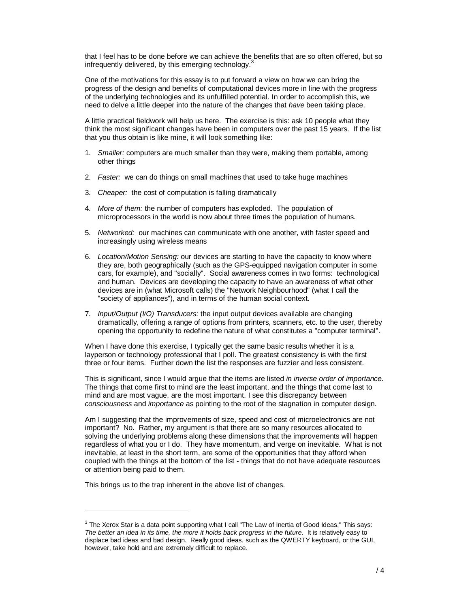that I feel has to be done before we can achieve the benefits that are so often offered, but so infrequently delivered, by this emerging technology.<sup>3</sup>

One of the motivations for this essay is to put forward a view on how we can bring the progress of the design and benefits of computational devices more in line with the progress of the underlying technologies and its unfulfilled potential. In order to accomplish this, we need to delve a little deeper into the nature of the changes that *have* been taking place.

A little practical fieldwork will help us here. The exercise is this: ask 10 people what they think the most significant changes have been in computers over the past 15 years. If the list that you thus obtain is like mine, it will look something like:

- 1. *Smaller:* computers are much smaller than they were, making them portable, among other things
- 2. *Faster:* we can do things on small machines that used to take huge machines
- 3. *Cheaper:* the cost of computation is falling dramatically
- 4. *More of them:* the number of computers has exploded. The population of microprocessors in the world is now about three times the population of humans.
- 5. *Networked:* our machines can communicate with one another, with faster speed and increasingly using wireless means
- 6. *Location/Motion Sensing:* our devices are starting to have the capacity to know where they are, both geographically (such as the GPS-equipped navigation computer in some cars, for example), and "socially". Social awareness comes in two forms: technological and human. Devices are developing the capacity to have an awareness of what other devices are in (what Microsoft calls) the "Network Neighbourhood" (what I call the "society of appliances"), and in terms of the human social context.
- 7. *Input/Output (I/O) Transducers:* the input output devices available are changing dramatically, offering a range of options from printers, scanners, etc. to the user, thereby opening the opportunity to redefine the nature of what constitutes a "computer terminal".

When I have done this exercise, I typically get the same basic results whether it is a layperson or technology professional that I poll. The greatest consistency is with the first three or four items. Further down the list the responses are fuzzier and less consistent.

This is significant, since I would argue that the items are listed *in inverse order of importance.* The things that come first to mind are the least important, and the things that come last to mind and are most vague, are the most important. I see this discrepancy between *consciousness* and *importance* as pointing to the root of the stagnation in computer design.

Am I suggesting that the improvements of size, speed and cost of microelectronics are not important? No. Rather, my argument is that there are so many resources allocated to solving the underlying problems along these dimensions that the improvements will happen regardless of what you or I do. They have momentum, and verge on inevitable. What is not inevitable, at least in the short term, are some of the opportunities that they afford when coupled with the things at the bottom of the list - things that do not have adequate resources or attention being paid to them.

This brings us to the trap inherent in the above list of changes.

 $^3$  The Xerox Star is a data point supporting what I call "The Law of Inertia of Good Ideas." This says: *The better an idea in its time, the more it holds back progress in the future*. It is relatively easy to displace bad ideas and bad design. Really good ideas, such as the QWERTY keyboard, or the GUI, however, take hold and are extremely difficult to replace.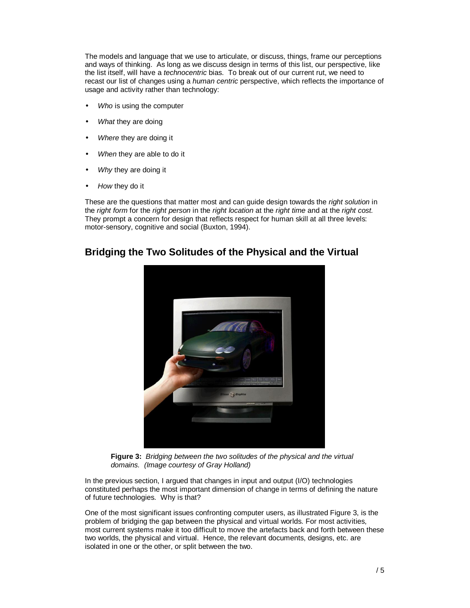The models and language that we use to articulate, or discuss, things, frame our perceptions and ways of thinking. As long as we discuss design in terms of this list, our perspective, like the list itself, will have a *technocentric* bias. To break out of our current rut, we need to recast our list of changes using a *human centric* perspective, which reflects the importance of usage and activity rather than technology:

- *Who* is using the computer
- *What* they are doing
- *Where* they are doing it
- *When* they are able to do it
- *Why* they are doing it
- *How* they do it

These are the questions that matter most and can guide design towards the *right solution* in the *right form* for the *right person* in the *right location* at the *right time* and at the *right cost.* They prompt a concern for design that reflects respect for human skill at all three levels: motor-sensory, cognitive and social (Buxton, 1994).

# **Bridging the Two Solitudes of the Physical and the Virtual**



**Figure 3:** *Bridging between the two solitudes of the physical and the virtual domains. (Image courtesy of Gray Holland)*

In the previous section, I argued that changes in input and output (I/O) technologies constituted perhaps the most important dimension of change in terms of defining the nature of future technologies. Why is that?

One of the most significant issues confronting computer users, as illustrated Figure 3, is the problem of bridging the gap between the physical and virtual worlds. For most activities, most current systems make it too difficult to move the artefacts back and forth between these two worlds, the physical and virtual. Hence, the relevant documents, designs, etc. are isolated in one or the other, or split between the two.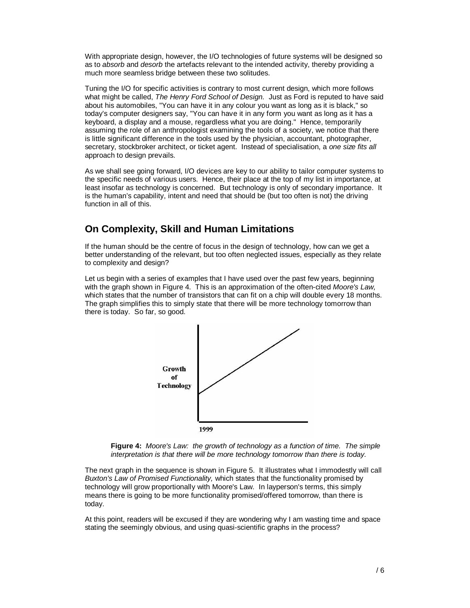With appropriate design, however, the I/O technologies of future systems will be designed so as to *absorb* and *desorb* the artefacts relevant to the intended activity, thereby providing a much more seamless bridge between these two solitudes.

Tuning the I/O for specific activities is contrary to most current design, which more follows what might be called, *The Henry Ford School of Design.* Just as Ford is reputed to have said about his automobiles, "You can have it in any colour you want as long as it is black," so today's computer designers say, "You can have it in any form you want as long as it has a keyboard, a display and a mouse, regardless what you are doing." Hence, temporarily assuming the role of an anthropologist examining the tools of a society, we notice that there is little significant difference in the tools used by the physician, accountant, photographer, secretary, stockbroker architect, or ticket agent. Instead of specialisation, a *one size fits all* approach to design prevails.

As we shall see going forward, I/O devices are key to our ability to tailor computer systems to the specific needs of various users. Hence, their place at the top of my list in importance, at least insofar as technology is concerned. But technology is only of secondary importance. It is the human's capability, intent and need that should be (but too often is not) the driving function in all of this.

# **On Complexity, Skill and Human Limitations**

If the human should be the centre of focus in the design of technology, how can we get a better understanding of the relevant, but too often neglected issues, especially as they relate to complexity and design?

Let us begin with a series of examples that I have used over the past few years, beginning with the graph shown in Figure 4. This is an approximation of the often-cited *Moore's Law,* which states that the number of transistors that can fit on a chip will double every 18 months. The graph simplifies this to simply state that there will be more technology tomorrow than there is today. So far, so good.



**Figure 4:** *Moore's Law: the growth of technology as a function of time. The simple interpretation is that there will be more technology tomorrow than there is today.*

The next graph in the sequence is shown in Figure 5. It illustrates what I immodestly will call *Buxton's Law of Promised Functionality,* which states that the functionality promised by technology will grow proportionally with Moore's Law. In layperson's terms, this simply means there is going to be more functionality promised/offered tomorrow, than there is today.

At this point, readers will be excused if they are wondering why I am wasting time and space stating the seemingly obvious, and using quasi-scientific graphs in the process?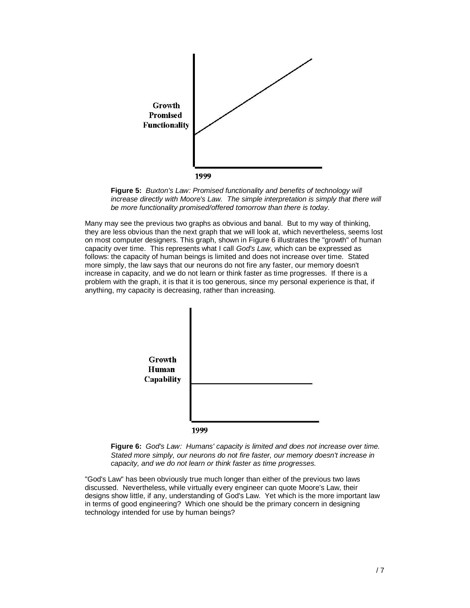

**Figure 5:** *Buxton's Law: Promised functionality and benefits of technology will increase directly with Moore's Law. The simple interpretation is simply that there will be more functionality promised/offered tomorrow than there is today*.

Many may see the previous two graphs as obvious and banal. But to my way of thinking, they are less obvious than the next graph that we will look at, which nevertheless, seems lost on most computer designers. This graph, shown in Figure 6 illustrates the "growth" of human capacity over time. This represents what I call *God's Law,* which can be expressed as follows: the capacity of human beings is limited and does not increase over time. Stated more simply, the law says that our neurons do not fire any faster, our memory doesn't increase in capacity, and we do not learn or think faster as time progresses. If there is a problem with the graph, it is that it is too generous, since my personal experience is that, if anything, my capacity is decreasing, rather than increasing.



**Figure 6:** *God's Law: Humans' capacity is limited and does not increase over time. Stated more simply, our neurons do not fire faster, our memory doesn't increase in capacity, and we do not learn or think faster as time progresses.*

"God's Law" has been obviously true much longer than either of the previous two laws discussed. Nevertheless, while virtually every engineer can quote Moore's Law, their designs show little, if any, understanding of God's Law. Yet which is the more important law in terms of good engineering? Which one should be the primary concern in designing technology intended for use by human beings?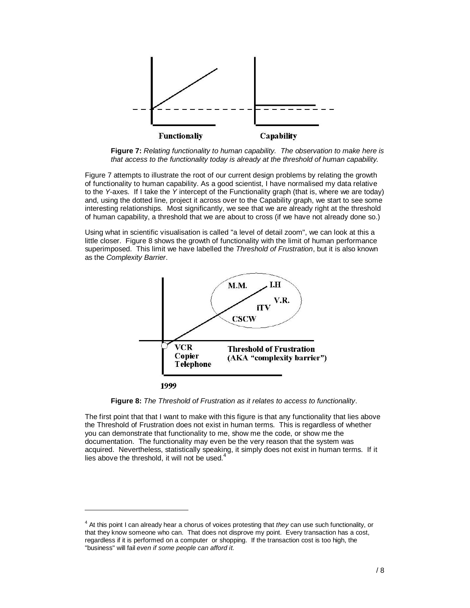

**Figure 7:** *Relating functionality to human capability. The observation to make here is that access to the functionality today is already at the threshold of human capability.*

Figure 7 attempts to illustrate the root of our current design problems by relating the growth of functionality to human capability. As a good scientist, I have normalised my data relative to the *Y*-axes. If I take the *Y* intercept of the Functionality graph (that is, where we are today) and, using the dotted line, project it across over to the Capability graph, we start to see some interesting relationships. Most significantly, we see that we are already right at the threshold of human capability, a threshold that we are about to cross (if we have not already done so.)

Using what in scientific visualisation is called "a level of detail zoom", we can look at this a little closer. Figure 8 shows the growth of functionality with the limit of human performance superimposed. This limit we have labelled the *Threshold of Frustration*, but it is also known as the *Complexity Barrier*.



1999

**Figure 8:** *The Threshold of Frustration as it relates to access to functionality*.

The first point that that I want to make with this figure is that any functionality that lies above the Threshold of Frustration does not exist in human terms. This is regardless of whether you can demonstrate that functionality to me, show me the code, or show me the documentation. The functionality may even be the very reason that the system was acquired. Nevertheless, statistically speaking, it simply does not exist in human terms. If it lies above the threshold, it will not be used.<sup>4</sup>

<sup>4</sup> At this point I can already hear a chorus of voices protesting that *they* can use such functionality, or that they know someone who can. That does not disprove my point. Every transaction has a cost, regardless if it is performed on a computer or shopping. If the transaction cost is too high, the "business" will fail *even if some people can afford it.*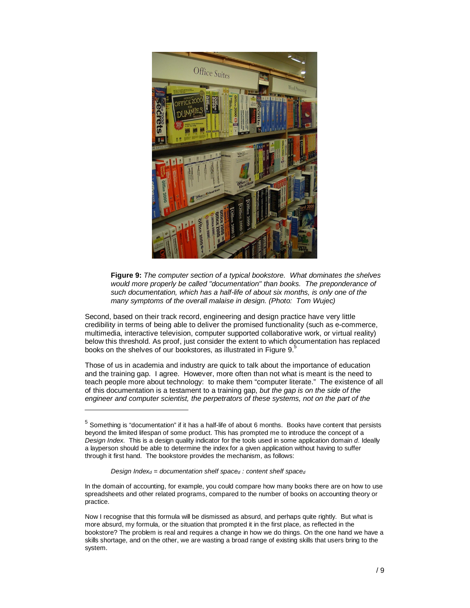

**Figure 9:** *The computer section of a typical bookstore. What dominates the shelves would more properly be called "documentation" than books. The preponderance of such documentation, which has a half-life of about six months, is only one of the many symptoms of the overall malaise in design. (Photo: Tom Wujec)*

Second, based on their track record, engineering and design practice have very little credibility in terms of being able to deliver the promised functionality (such as e-commerce, multimedia, interactive television, computer supported collaborative work, or virtual reality) below this threshold. As proof, just consider the extent to which documentation has replaced books on the shelves of our bookstores, as illustrated in Figure  $9<sup>5</sup>$ 

Those of us in academia and industry are quick to talk about the importance of education and the training gap. I agree. However, more often than not what is meant is the need to teach people more about technology: to make them "computer literate." The existence of all of this documentation is a testament to a training gap, *but the gap is on the side of the engineer and computer scientist, the perpetrators of these systems, not on the part of the*

*Design Index<sub>d</sub>* = documentation shelf space<sub>d</sub> : content shelf space<sub>d</sub>

In the domain of accounting, for example, you could compare how many books there are on how to use spreadsheets and other related programs, compared to the number of books on accounting theory or practice.

 $^5$  Something is "documentation" if it has a half-life of about 6 months. Books have content that persists beyond the limited lifespan of some product. This has prompted me to introduce the concept of a *Design Index.* This is a design quality indicator for the tools used in some application domain *d*. Ideally a layperson should be able to determine the index for a given application without having to suffer through it first hand. The bookstore provides the mechanism, as follows:

Now I recognise that this formula will be dismissed as absurd, and perhaps quite rightly. But what is more absurd, my formula, or the situation that prompted it in the first place, as reflected in the bookstore? The problem is real and requires a change in how we do things. On the one hand we have a skills shortage, and on the other, we are wasting a broad range of existing skills that users bring to the system.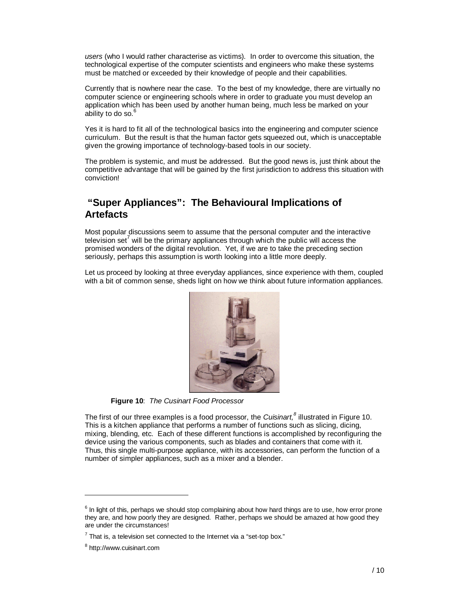*users* (who I would rather characterise as victims)*.* In order to overcome this situation, the technological expertise of the computer scientists and engineers who make these systems must be matched or exceeded by their knowledge of people and their capabilities.

Currently that is nowhere near the case. To the best of my knowledge, there are virtually no computer science or engineering schools where in order to graduate you must develop an application which has been used by another human being, much less be marked on your ability to do so.<sup>6</sup>

Yes it is hard to fit all of the technological basics into the engineering and computer science curriculum. But the result is that the human factor gets squeezed out, which is unacceptable given the growing importance of technology-based tools in our society.

The problem is systemic, and must be addressed. But the good news is, just think about the competitive advantage that will be gained by the first jurisdiction to address this situation with conviction!

# **"Super Appliances": The Behavioural Implications of Artefacts**

Most popular discussions seem to assume that the personal computer and the interactive television set<sup>7</sup> will be the primary appliances through which the public will access the promised wonders of the digital revolution. Yet, if we are to take the preceding section seriously, perhaps this assumption is worth looking into a little more deeply.

Let us proceed by looking at three everyday appliances, since experience with them, coupled with a bit of common sense, sheds light on how we think about future information appliances.



**Figure 10**: *The Cusinart Food Processor*

The first of our three examples is a food processor, the *Cuisinart,<sup>8</sup>* illustrated in Figure 10. This is a kitchen appliance that performs a number of functions such as slicing, dicing, mixing, blending, etc. Each of these different functions is accomplished by reconfiguring the device using the various components, such as blades and containers that come with it. Thus, this single multi-purpose appliance, with its accessories, can perform the function of a number of simpler appliances, such as a mixer and a blender.

<sup>&</sup>lt;sup>6</sup> In light of this, perhaps we should stop complaining about how hard things are to use, how error prone they are, and how poorly they are designed. Rather, perhaps we should be amazed at how good they are under the circumstances!

 $^7$  That is, a television set connected to the Internet via a "set-top box."

<sup>&</sup>lt;sup>8</sup><http://www.cuisinart.com>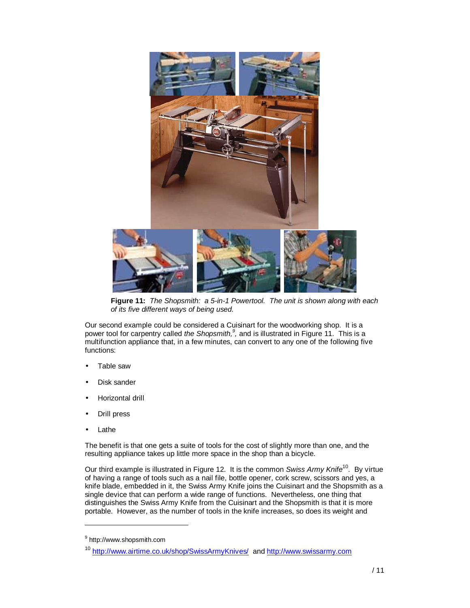

**Figure 11:** *The Shopsmith: a 5-in-1 Powertool. The unit is shown along with each of its five different ways of being used.*

Our second example could be considered a Cuisinart for the woodworking shop. It is a power tool for carpentry called *the Shopsmith,<sup>9</sup>,* and is illustrated in Figure 11. This is a multifunction appliance that, in a few minutes, can convert to any one of the following five functions:

- Table saw
- Disk sander
- Horizontal drill
- Drill press
- Lathe

The benefit is that one gets a suite of tools for the cost of slightly more than one, and the resulting appliance takes up little more space in the shop than a bicycle.

Our third example is illustrated in Figure 12. It is the common *Swiss Army Knife*<sup>10</sup>. By virtue of having a range of tools such as a nail file, bottle opener, cork screw, scissors and yes, a knife blade, embedded in it, the Swiss Army Knife joins the Cuisinart and the Shopsmith as a single device that can perform a wide range of functions. Nevertheless, one thing that distinguishes the Swiss Army Knife from the Cuisinart and the Shopsmith is that it is more portable. However, as the number of tools in the knife increases, so does its weight and

<sup>&</sup>lt;sup>9</sup><http://www.shopsmith.com>

<sup>10</sup> <http://www.airtime.co.uk/shop/SwissArmyKnives/> and <http://www.swissarmy.com>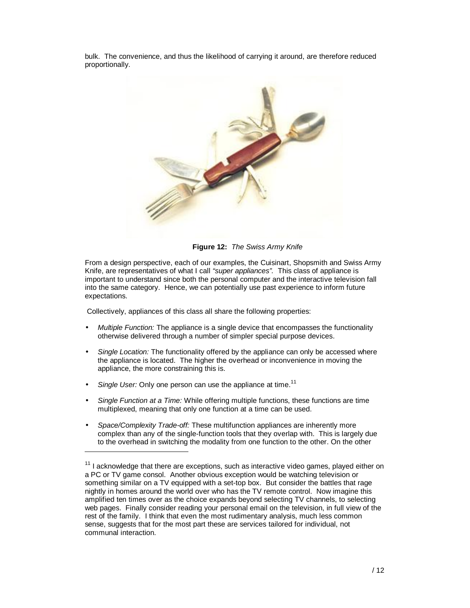bulk. The convenience, and thus the likelihood of carrying it around, are therefore reduced proportionally.



**Figure 12:** *The Swiss Army Knife*

From a design perspective, each of our examples, the Cuisinart, Shopsmith and Swiss Army Knife, are representatives of what I call *"super appliances".* This class of appliance is important to understand since both the personal computer and the interactive television fall into the same category. Hence, we can potentially use past experience to inform future expectations.

Collectively, appliances of this class all share the following properties:

- *Multiple Function:* The appliance is a single device that encompasses the functionality otherwise delivered through a number of simpler special purpose devices.
- *Single Location:* The functionality offered by the appliance can only be accessed where the appliance is located. The higher the overhead or inconvenience in moving the appliance, the more constraining this is.
- Single User: Only one person can use the appliance at time.<sup>11</sup>
- *Single Function at a Time:* While offering multiple functions, these functions are time multiplexed, meaning that only one function at a time can be used.
- *Space/Complexity Trade-off:* These multifunction appliances are inherently more complex than any of the single-function tools that they overlap with. This is largely due to the overhead in switching the modality from one function to the other. On the other

 $11$  I acknowledge that there are exceptions, such as interactive video games, played either on a PC or TV game consol. Another obvious exception would be watching television or something similar on a TV equipped with a set-top box. But consider the battles that rage nightly in homes around the world over who has the TV remote control. Now imagine this amplified ten times over as the choice expands beyond selecting TV channels, to selecting web pages. Finally consider reading your personal email on the television, in full view of the rest of the family. I think that even the most rudimentary analysis, much less common sense, suggests that for the most part these are services tailored for individual, not communal interaction.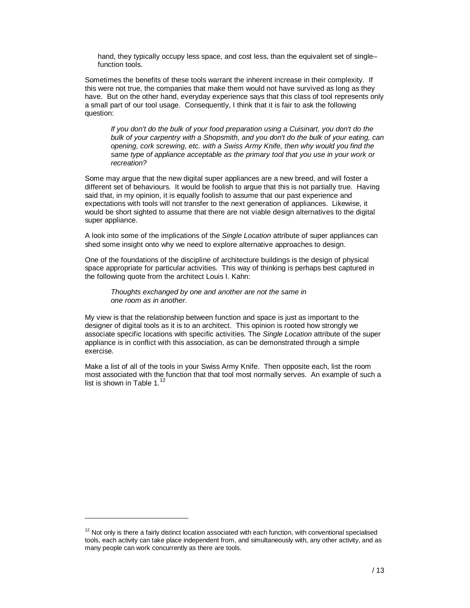hand, they typically occupy less space, and cost less, than the equivalent set of single– function tools.

Sometimes the benefits of these tools warrant the inherent increase in their complexity. If this were not true, the companies that make them would not have survived as long as they have. But on the other hand, everyday experience says that this class of tool represents only a small part of our tool usage. Consequently, I think that it is fair to ask the following question:

*If you don't do the bulk of your food preparation using a Cuisinart, you don't do the bulk of your carpentry with a Shopsmith, and you don't do the bulk of your eating, can opening, cork screwing, etc. with a Swiss Army Knife, then why would you find the same type of appliance acceptable as the primary tool that you use in your work or recreation?*

Some may argue that the new digital super appliances are a new breed, and will foster a different set of behaviours. It would be foolish to argue that this is not partially true. Having said that, in my opinion, it is equally foolish to assume that our past experience and expectations with tools will not transfer to the next generation of appliances. Likewise, it would be short sighted to assume that there are not viable design alternatives to the digital super appliance.

A look into some of the implications of the *Single Location* attribute of super appliances can shed some insight onto why we need to explore alternative approaches to design.

One of the foundations of the discipline of architecture buildings is the design of physical space appropriate for particular activities. This way of thinking is perhaps best captured in the following quote from the architect Louis I. Kahn:

*Thoughts exchanged by one and another are not the same in one room as in another.*

My view is that the relationship between function and space is just as important to the designer of digital tools as it is to an architect. This opinion is rooted how strongly we associate specific locations with specific activities. The *Single Location* attribute of the super appliance is in conflict with this association, as can be demonstrated through a simple exercise.

Make a list of all of the tools in your Swiss Army Knife. Then opposite each, list the room most associated with the function that that tool most normally serves. An example of such a list is shown in Table  $1.^{12}$ 

 $12$  Not only is there a fairly distinct location associated with each function, with conventional specialised tools, each activity can take place independent from, and simultaneously with, any other activity, and as many people can work concurrently as there are tools.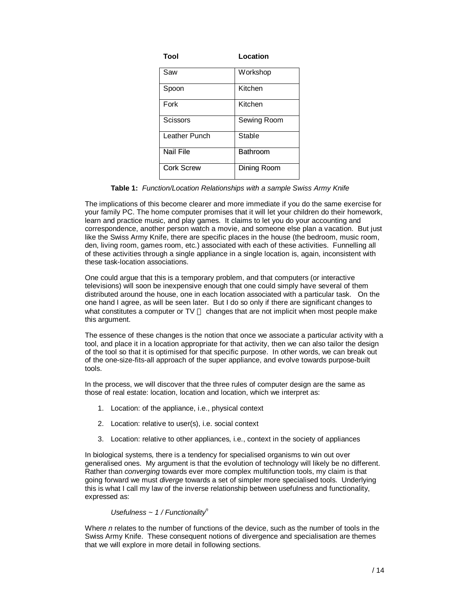| Tool             | Location    |
|------------------|-------------|
| Saw              | Workshop    |
| Spoon            | Kitchen     |
| Fork             | Kitchen     |
| Scissors         | Sewing Room |
| Leather Punch    | Stable      |
| <b>Nail File</b> | Bathroom    |
| Cork Screw       | Dining Room |

**Table 1:** *Function/Location Relationships with a sample Swiss Army Knife*

The implications of this become clearer and more immediate if you do the same exercise for your family PC. The home computer promises that it will let your children do their homework, learn and practice music, and play games. It claims to let you do your accounting and correspondence, another person watch a movie, and someone else plan a vacation. But just like the Swiss Army Knife, there are specific places in the house (the bedroom, music room, den, living room, games room, etc.) associated with each of these activities. Funnelling all of these activities through a single appliance in a single location is, again, inconsistent with these task-location associations.

One could argue that this is a temporary problem, and that computers (or interactive televisions) will soon be inexpensive enough that one could simply have several of them distributed around the house, one in each location associated with a particular task. On the one hand I agree, as will be seen later. But I do so only if there are significant changes to what constitutes a computer or  $TV$   $\longrightarrow$  changes that are not implicit when most people make this argument.

The essence of these changes is the notion that once we associate a particular activity with a tool, and place it in a location appropriate for that activity, then we can also tailor the design of the tool so that it is optimised for that specific purpose. In other words, we can break out of the one-size-fits-all approach of the super appliance, and evolve towards purpose-built tools.

In the process, we will discover that the three rules of computer design are the same as those of real estate: location, location and location, which we interpret as:

- 1. Location: of the appliance, i.e., physical context
- 2. Location: relative to user(s), i.e. social context
- 3. Location: relative to other appliances, i.e., context in the society of appliances

In biological systems, there is a tendency for specialised organisms to win out over generalised ones. My argument is that the evolution of technology will likely be no different. Rather than *converging* towards ever more complex multifunction tools, my claim is that going forward we must *diverge* towards a set of simpler more specialised tools. Underlying this is what I call my law of the inverse relationship between usefulness and functionality, expressed as:

#### *Usefulness ~ 1 / Functionality<sup>n</sup>*

Where *n* relates to the number of functions of the device, such as the number of tools in the Swiss Army Knife. These consequent notions of divergence and specialisation are themes that we will explore in more detail in following sections.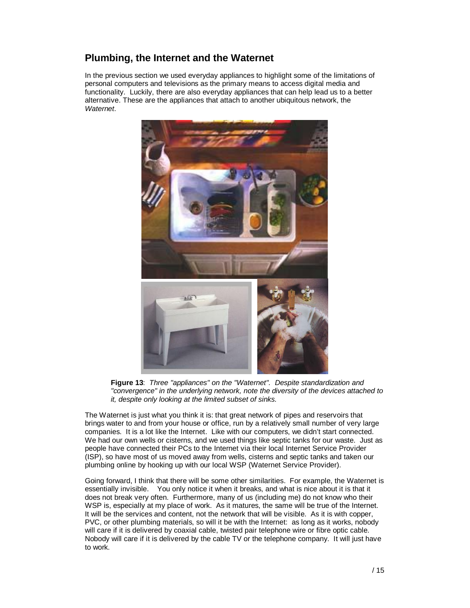# **Plumbing, the Internet and the Waternet**

In the previous section we used everyday appliances to highlight some of the limitations of personal computers and televisions as the primary means to access digital media and functionality. Luckily, there are also everyday appliances that can help lead us to a better alternative. These are the appliances that attach to another ubiquitous network, the *Waternet*.



**Figure 13**: *Three "appliances" on the "Waternet". Despite standardization and "convergence" in the underlying network, note the diversity of the devices attached to it, despite only looking at the limited subset of sinks.*

The Waternet is just what you think it is: that great network of pipes and reservoirs that brings water to and from your house or office, run by a relatively small number of very large companies. It is a lot like the Internet. Like with our computers, we didn't start connected. We had our own wells or cisterns, and we used things like septic tanks for our waste. Just as people have connected their PCs to the Internet via their local Internet Service Provider (ISP), so have most of us moved away from wells, cisterns and septic tanks and taken our plumbing online by hooking up with our local WSP (Waternet Service Provider).

Going forward, I think that there will be some other similarities. For example, the Waternet is essentially invisible. You only notice it when it breaks, and what is nice about it is that it does not break very often. Furthermore, many of us (including me) do not know who their WSP is, especially at my place of work. As it matures, the same will be true of the Internet. It will be the services and content, not the network that will be visible. As it is with copper, PVC, or other plumbing materials, so will it be with the Internet: as long as it works, nobody will care if it is delivered by coaxial cable, twisted pair telephone wire or fibre optic cable. Nobody will care if it is delivered by the cable TV or the telephone company. It will just have to work.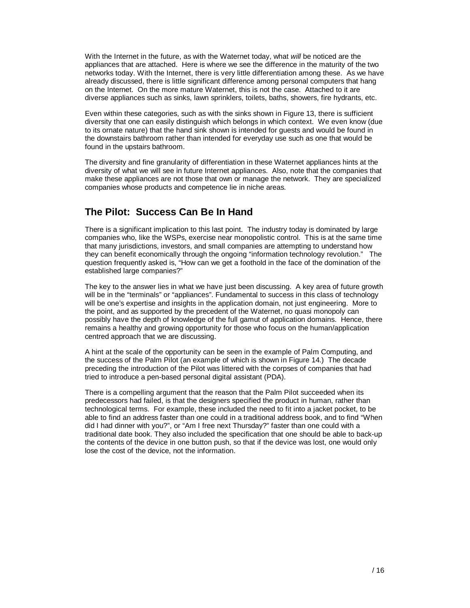With the Internet in the future, as with the Waternet today, what *will* be noticed are the appliances that are attached. Here is where we see the difference in the maturity of the two networks today. With the Internet, there is very little differentiation among these. As we have already discussed, there is little significant difference among personal computers that hang on the Internet. On the more mature Waternet, this is not the case. Attached to it are diverse appliances such as sinks, lawn sprinklers, toilets, baths, showers, fire hydrants, etc.

Even within these categories, such as with the sinks shown in Figure 13, there is sufficient diversity that one can easily distinguish which belongs in which context. We even know (due to its ornate nature) that the hand sink shown is intended for guests and would be found in the downstairs bathroom rather than intended for everyday use such as one that would be found in the upstairs bathroom.

The diversity and fine granularity of differentiation in these Waternet appliances hints at the diversity of what we will see in future Internet appliances. Also, note that the companies that make these appliances are not those that own or manage the network. They are specialized companies whose products and competence lie in niche areas.

### **The Pilot: Success Can Be In Hand**

There is a significant implication to this last point. The industry today is dominated by large companies who, like the WSPs, exercise near monopolistic control. This is at the same time that many jurisdictions, investors, and small companies are attempting to understand how they can benefit economically through the ongoing "information technology revolution." The question frequently asked is, "How can we get a foothold in the face of the domination of the established large companies?"

The key to the answer lies in what we have just been discussing. A key area of future growth will be in the "terminals" or "appliances". Fundamental to success in this class of technology will be one's expertise and insights in the application domain, not just engineering. More to the point, and as supported by the precedent of the Waternet, no quasi monopoly can possibly have the depth of knowledge of the full gamut of application domains. Hence, there remains a healthy and growing opportunity for those who focus on the human/application centred approach that we are discussing.

A hint at the scale of the opportunity can be seen in the example of Palm Computing, and the success of the Palm Pilot (an example of which is shown in Figure 14.) The decade preceding the introduction of the Pilot was littered with the corpses of companies that had tried to introduce a pen-based personal digital assistant (PDA).

There is a compelling argument that the reason that the Palm Pilot succeeded when its predecessors had failed, is that the designers specified the product in human, rather than technological terms. For example, these included the need to fit into a jacket pocket, to be able to find an address faster than one could in a traditional address book, and to find "When did I had dinner with you?", or "Am I free next Thursday?" faster than one could with a traditional date book. They also included the specification that one should be able to back-up the contents of the device in one button push, so that if the device was lost, one would only lose the cost of the device, not the information.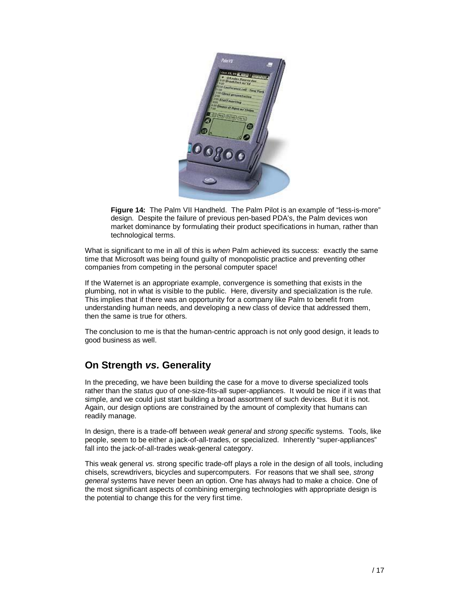

**Figure 14:** The Palm VII Handheld. The Palm Pilot is an example of "less-is-more" design. Despite the failure of previous pen-based PDA's, the Palm devices won market dominance by formulating their product specifications in human, rather than technological terms.

What is significant to me in all of this is *when* Palm achieved its success: exactly the same time that Microsoft was being found guilty of monopolistic practice and preventing other companies from competing in the personal computer space!

If the Waternet is an appropriate example, convergence is something that exists in the plumbing, not in what is visible to the public. Here, diversity and specialization is the rule. This implies that if there was an opportunity for a company like Palm to benefit from understanding human needs, and developing a new class of device that addressed them, then the same is true for others.

The conclusion to me is that the human-centric approach is not only good design, it leads to good business as well.

# **On Strength** *vs.* **Generality**

In the preceding, we have been building the case for a move to diverse specialized tools rather than the *status quo* of one-size-fits-all super-appliances. It would be nice if it was that simple, and we could just start building a broad assortment of such devices. But it is not. Again, our design options are constrained by the amount of complexity that humans can readily manage.

In design, there is a trade-off between *weak general* and *strong specific* systems. Tools, like people, seem to be either a jack-of-all-trades, or specialized. Inherently "super-appliances" fall into the jack-of-all-trades weak-general category.

This weak general *vs.* strong specific trade-off plays a role in the design of all tools, including chisels, screwdrivers, bicycles and supercomputers. For reasons that we shall see, *strong general* systems have never been an option. One has always had to make a choice. One of the most significant aspects of combining emerging technologies with appropriate design is the potential to change this for the very first time.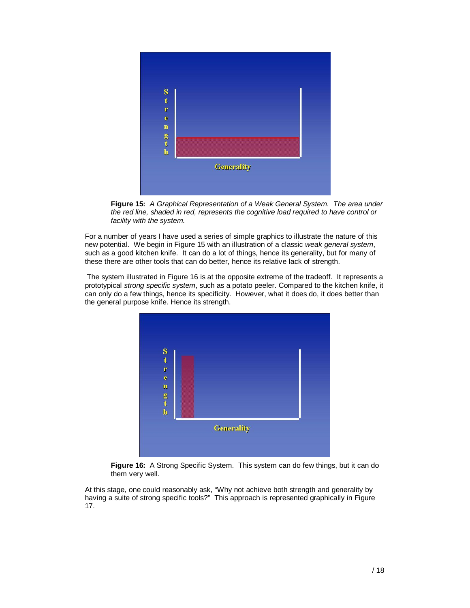

**Figure 15:** *A Graphical Representation of a Weak General System. The area under the red line, shaded in red, represents the cognitive load required to have control or facility with the system.*

For a number of years I have used a series of simple graphics to illustrate the nature of this new potential. We begin in Figure 15 with an illustration of a classic *weak general system*, such as a good kitchen knife. It can do a lot of things, hence its generality, but for many of these there are other tools that can do better, hence its relative lack of strength.

 The system illustrated in Figure 16 is at the opposite extreme of the tradeoff. It represents a prototypical *strong specific system*, such as a potato peeler. Compared to the kitchen knife, it can only do a few things, hence its specificity. However, what it does do, it does better than the general purpose knife. Hence its strength.



**Figure 16:** A Strong Specific System. This system can do few things, but it can do them very well.

At this stage, one could reasonably ask, "Why not achieve both strength and generality by having a suite of strong specific tools?" This approach is represented graphically in Figure 17.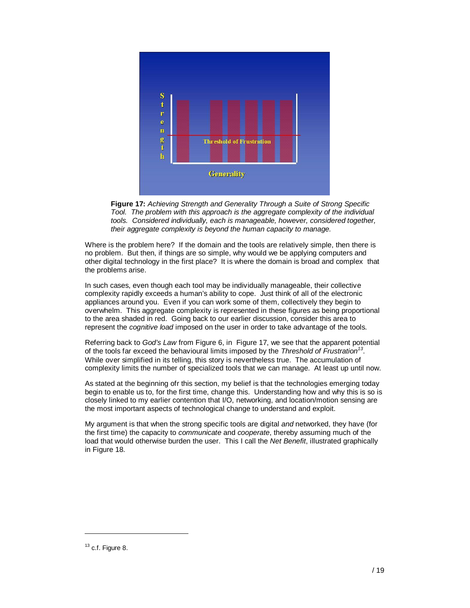

**Figure 17:** *Achieving Strength and Generality Through a Suite of Strong Specific Tool. The problem with this approach is the aggregate complexity of the individual tools. Considered individually, each is manageable, however, considered together, their aggregate complexity is beyond the human capacity to manage.*

Where is the problem here? If the domain and the tools are relatively simple, then there is no problem. But then, if things are so simple, why would we be applying computers and other digital technology in the first place? It is where the domain is broad and complex that the problems arise.

In such cases, even though each tool may be individually manageable, their collective complexity rapidly exceeds a human's ability to cope. Just think of all of the electronic appliances around you. Even if you can work some of them, collectively they begin to overwhelm. This aggregate complexity is represented in these figures as being proportional to the area shaded in red. Going back to our earlier discussion, consider this area to represent the *cognitive load* imposed on the user in order to take advantage of the tools.

Referring back to *God's Law* from Figure 6, in Figure 17, we see that the apparent potential of the tools far exceed the behavioural limits imposed by the *Threshold of Frustration<sup>13</sup>* . While over simplified in its telling, this story is nevertheless true. The accumulation of complexity limits the number of specialized tools that we can manage. At least up until now.

As stated at the beginning ofr this section, my belief is that the technologies emerging today begin to enable us to, for the first time, change this. Understanding how and why this is so is closely linked to my earlier contention that I/O, networking, and location/motion sensing are the most important aspects of technological change to understand and exploit.

My argument is that when the strong specific tools are digital *and* networked, they have (for the first time) the capacity to *communicate* and *cooperate*, thereby assuming much of the load that would otherwise burden the user. This I call the *Net Benefit*, illustrated graphically in Figure 18.

 $13$  c.f. Figure 8.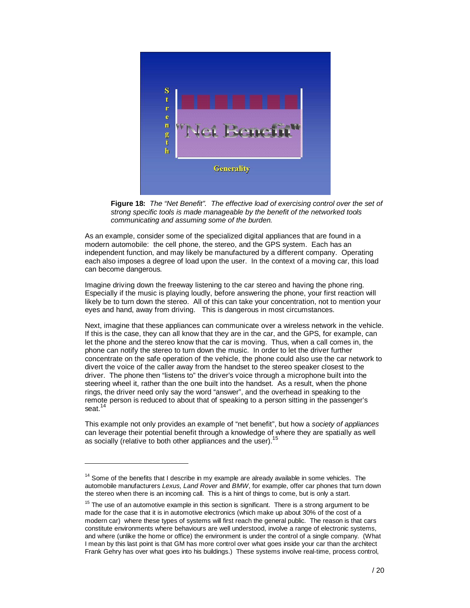



As an example, consider some of the specialized digital appliances that are found in a modern automobile: the cell phone, the stereo, and the GPS system. Each has an independent function, and may likely be manufactured by a different company. Operating each also imposes a degree of load upon the user. In the context of a moving car, this load can become dangerous.

Imagine driving down the freeway listening to the car stereo and having the phone ring. Especially if the music is playing loudly, before answering the phone, your first reaction will likely be to turn down the stereo. All of this can take your concentration, not to mention your eyes and hand, away from driving. This is dangerous in most circumstances.

Next, imagine that these appliances can communicate over a wireless network in the vehicle. If this is the case, they can all know that they are in the car, and the GPS, for example, can let the phone and the stereo know that the car is moving. Thus, when a call comes in, the phone can notify the stereo to turn down the music. In order to let the driver further concentrate on the safe operation of the vehicle, the phone could also use the car network to divert the voice of the caller away from the handset to the stereo speaker closest to the driver. The phone then "listens to" the driver's voice through a microphone built into the steering wheel it, rather than the one built into the handset. As a result, when the phone rings, the driver need only say the word "answer", and the overhead in speaking to the remote person is reduced to about that of speaking to a person sitting in the passenger's seat.<sup>14</sup>

This example not only provides an example of "net benefit", but how a *society of appliances* can leverage their potential benefit through a knowledge of where they are spatially as well as socially (relative to both other appliances and the user).<sup>15</sup>

<sup>&</sup>lt;sup>14</sup> Some of the benefits that I describe in my example are already available in some vehicles. The automobile manufacturers *Lexus, Land Rover* and *BMW*, for example, offer car phones that turn down the stereo when there is an incoming call. This is a hint of things to come, but is only a start.

 $15$  The use of an automotive example in this section is significant. There is a strong argument to be made for the case that it is in automotive electronics (which make up about 30% of the cost of a modern car) where these types of systems will first reach the general public. The reason is that cars constitute environments where behaviours are well understood, involve a range of electronic systems, and where (unlike the home or office) the environment is under the control of a single company. (What I mean by this last point is that GM has more control over what goes inside your car than the architect Frank Gehry has over what goes into his buildings.) These systems involve real-time, process control,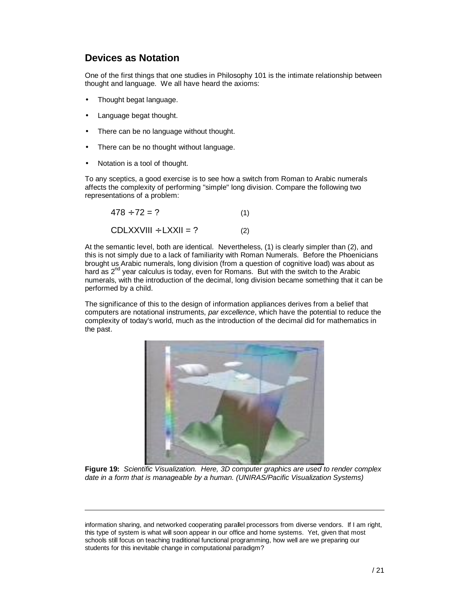### **Devices as Notation**

One of the first things that one studies in Philosophy 101 is the intimate relationship between thought and language. We all have heard the axioms:

- Thought begat language.
- Language begat thought.
- There can be no language without thought.
- There can be no thought without language.
- Notation is a tool of thought.

To any sceptics, a good exercise is to see how a switch from Roman to Arabic numerals affects the complexity of performing "simple" long division. Compare the following two representations of a problem:

| $478 \div 72 = ?$       | (1) |
|-------------------------|-----|
| $CDLXXVIII + LXXII = ?$ | (2) |

At the semantic level, both are identical. Nevertheless, (1) is clearly simpler than (2), and this is not simply due to a lack of familiarity with Roman Numerals. Before the Phoenicians brought us Arabic numerals, long division (from a question of cognitive load) was about as hard as 2<sup>nd</sup> year calculus is today, even for Romans. But with the switch to the Arabic numerals, with the introduction of the decimal, long division became something that it can be performed by a child.

The significance of this to the design of information appliances derives from a belief that computers are notational instruments, *par excellence*, which have the potential to reduce the complexity of today's world, much as the introduction of the decimal did for mathematics in the past.



**Figure 19:** *Scientific Visualization. Here, 3D computer graphics are used to render complex date in a form that is manageable by a human. (UNIRAS/Pacific Visualization Systems)*

information sharing, and networked cooperating parallel processors from diverse vendors. If I am right, this type of system is what will soon appear in our office and home systems. Yet, given that most schools still focus on teaching traditional functional programming, how well are we preparing our students for this inevitable change in computational paradigm?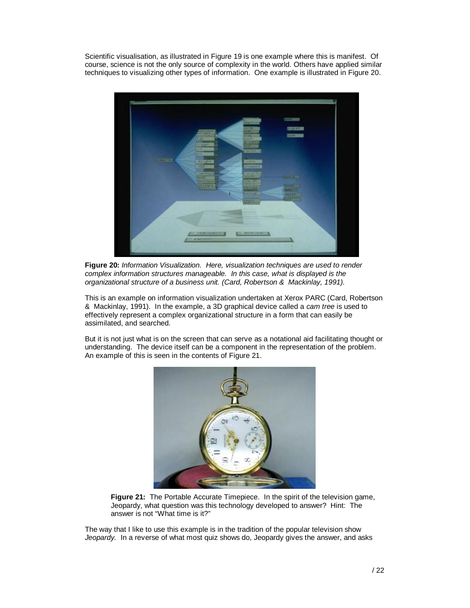Scientific visualisation, as illustrated in Figure 19 is one example where this is manifest. Of course, science is not the only source of complexity in the world. Others have applied similar techniques to visualizing other types of information. One example is illustrated in Figure 20.



**Figure 20:** *Information Visualization. Here, visualization techniques are used to render complex information structures manageable. In this case, what is displayed is the organizational structure of a business unit. (Card, Robertson & Mackinlay, 1991).*

This is an example on information visualization undertaken at Xerox PARC (Card, Robertson & Mackinlay, 1991). In the example, a 3D graphical device called a *cam tree* is used to effectively represent a complex organizational structure in a form that can easily be assimilated, and searched.

But it is not just what is on the screen that can serve as a notational aid facilitating thought or understanding. The device itself can be a component in the representation of the problem. An example of this is seen in the contents of Figure 21.



**Figure 21:** The Portable Accurate Timepiece. In the spirit of the television game, Jeopardy, what question was this technology developed to answer? Hint: The answer is not "What time is it?"

The way that I like to use this example is in the tradition of the popular television show *Jeopardy.* In a reverse of what most quiz shows do, Jeopardy gives the answer, and asks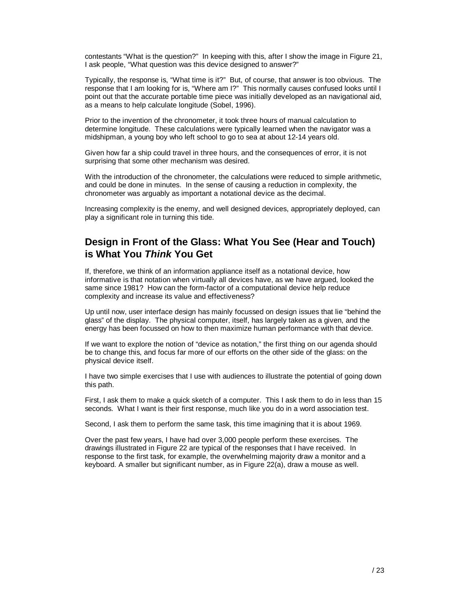contestants "What is the question?" In keeping with this, after I show the image in Figure 21, I ask people, "What question was this device designed to answer?"

Typically, the response is, "What time is it?" But, of course, that answer is too obvious. The response that I am looking for is, "Where am I?" This normally causes confused looks until I point out that the accurate portable time piece was initially developed as an navigational aid, as a means to help calculate longitude (Sobel, 1996).

Prior to the invention of the chronometer, it took three hours of manual calculation to determine longitude. These calculations were typically learned when the navigator was a midshipman, a young boy who left school to go to sea at about 12-14 years old.

Given how far a ship could travel in three hours, and the consequences of error, it is not surprising that some other mechanism was desired.

With the introduction of the chronometer, the calculations were reduced to simple arithmetic, and could be done in minutes. In the sense of causing a reduction in complexity, the chronometer was arguably as important a notational device as the decimal.

Increasing complexity is the enemy, and well designed devices, appropriately deployed, can play a significant role in turning this tide.

## **Design in Front of the Glass: What You See (Hear and Touch) is What You** *Think* **You Get**

If, therefore, we think of an information appliance itself as a notational device, how informative is that notation when virtually all devices have, as we have argued, looked the same since 1981? How can the form-factor of a computational device help reduce complexity and increase its value and effectiveness?

Up until now, user interface design has mainly focussed on design issues that lie "behind the glass" of the display. The physical computer, itself, has largely taken as a given, and the energy has been focussed on how to then maximize human performance with that device.

If we want to explore the notion of "device as notation," the first thing on our agenda should be to change this, and focus far more of our efforts on the other side of the glass: on the physical device itself.

I have two simple exercises that I use with audiences to illustrate the potential of going down this path.

First, I ask them to make a quick sketch of a computer. This I ask them to do in less than 15 seconds. What I want is their first response, much like you do in a word association test.

Second, I ask them to perform the same task, this time imagining that it is about 1969.

Over the past few years, I have had over 3,000 people perform these exercises. The drawings illustrated in Figure 22 are typical of the responses that I have received. In response to the first task, for example, the overwhelming majority draw a monitor and a keyboard. A smaller but significant number, as in Figure 22(a), draw a mouse as well.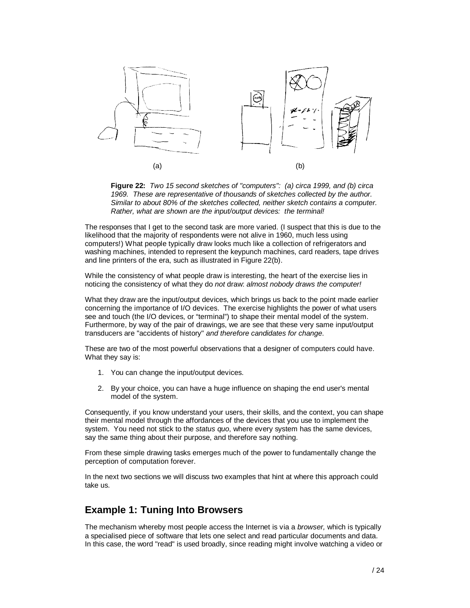

**Figure 22:** *Two 15 second sketches of "computers": (a) circa 1999, and (b) circa 1969. These are representative of thousands of sketches collected by the author. Similar to about 80% of the sketches collected, neither sketch contains a computer. Rather, what are shown are the input/output devices: the terminal!*

The responses that I get to the second task are more varied. (I suspect that this is due to the likelihood that the majority of respondents were not alive in 1960, much less using computers!) What people typically draw looks much like a collection of refrigerators and washing machines, intended to represent the keypunch machines, card readers, tape drives and line printers of the era, such as illustrated in Figure 22(b).

While the consistency of what people draw is interesting, the heart of the exercise lies in noticing the consistency of what they do *not* draw: *almost nobody draws the computer!*

What they draw are the input/output devices, which brings us back to the point made earlier concerning the importance of I/O devices. The exercise highlights the power of what users see and touch (the I/O devices, or "terminal") to shape their mental model of the system. Furthermore, by way of the pair of drawings, we are see that these very same input/output transducers are "accidents of history" *and therefore candidates for change*.

These are two of the most powerful observations that a designer of computers could have. What they say is:

- 1. You can change the input/output devices.
- 2. By your choice, you can have a huge influence on shaping the end user's mental model of the system.

Consequently, if you know understand your users, their skills, and the context, you can shape their mental model through the affordances of the devices that you use to implement the system. You need not stick to the *status quo*, where every system has the same devices, say the same thing about their purpose, and therefore say nothing.

From these simple drawing tasks emerges much of the power to fundamentally change the perception of computation forever.

In the next two sections we will discuss two examples that hint at where this approach could take us.

#### **Example 1: Tuning Into Browsers**

The mechanism whereby most people access the Internet is via a *browser,* which is typically a specialised piece of software that lets one select and read particular documents and data. In this case, the word "read" is used broadly, since reading might involve watching a video or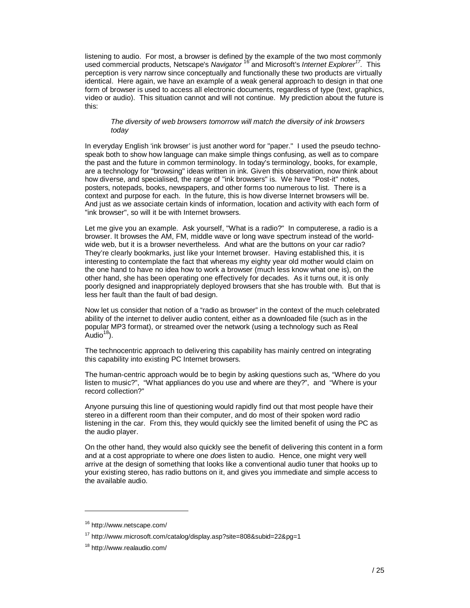listening to audio. For most, a browser is defined by the example of the two most commonly used commercial products, Netscape's *Navigator* <sup>16</sup> and Microsoft's *Internet Explorer<sup>17</sup> .* This perception is very narrow since conceptually and functionally these two products are virtually identical. Here again, we have an example of a weak general approach to design in that one form of browser is used to access all electronic documents, regardless of type (text, graphics, video or audio). This situation cannot and will not continue. My prediction about the future is this:

#### *The diversity of web browsers tomorrow will match the diversity of ink browsers today*

In everyday English 'ink browser' is just another word for "paper." I used the pseudo technospeak both to show how language can make simple things confusing, as well as to compare the past and the future in common terminology. In today's terminology, books, for example, are a technology for "browsing" ideas written in ink. Given this observation, now think about how diverse, and specialised, the range of "ink browsers" is. We have "Post-it" notes, posters, notepads, books, newspapers, and other forms too numerous to list. There is a context and purpose for each. In the future, this is how diverse Internet browsers will be. And just as we associate certain kinds of information, location and activity with each form of "ink browser", so will it be with Internet browsers.

Let me give you an example. Ask yourself, "What is a radio?" In computerese, a radio is a browser. It browses the AM, FM, middle wave or long wave spectrum instead of the worldwide web, but it is a browser nevertheless. And what are the buttons on your car radio? They're clearly bookmarks, just like your Internet browser. Having established this, it is interesting to contemplate the fact that whereas my eighty year old mother would claim on the one hand to have no idea how to work a browser (much less know what one is), on the other hand, she has been operating one effectively for decades. As it turns out, it is only poorly designed and inappropriately deployed browsers that she has trouble with. But that is less her fault than the fault of bad design.

Now let us consider that notion of a "radio as browser" in the context of the much celebrated ability of the internet to deliver audio content, either as a downloaded file (such as in the popular MP3 format), or streamed over the network (using a technology such as Real Audio $18$ ).

The technocentric approach to delivering this capability has mainly centred on integrating this capability into existing PC Internet browsers.

The human-centric approach would be to begin by asking questions such as, "Where do you listen to music?", "What appliances do you use and where are they?", and "Where is your record collection?"

Anyone pursuing this line of questioning would rapidly find out that most people have their stereo in a different room than their computer, and do most of their spoken word radio listening in the car. From this, they would quickly see the limited benefit of using the PC as the audio player.

On the other hand, they would also quickly see the benefit of delivering this content in a form and at a cost appropriate to where one *does* listen to audio. Hence, one might very well arrive at the design of something that looks like a conventional audio tuner that hooks up to your existing stereo, has radio buttons on it, and gives you immediate and simple access to the available audio.

<sup>16</sup><http://www.netscape.com/>

<sup>17</sup><http://www.microsoft.com/catalog/display.asp?site=808&subid=22&pg=1>

<sup>18</sup><http://www.realaudio.com/>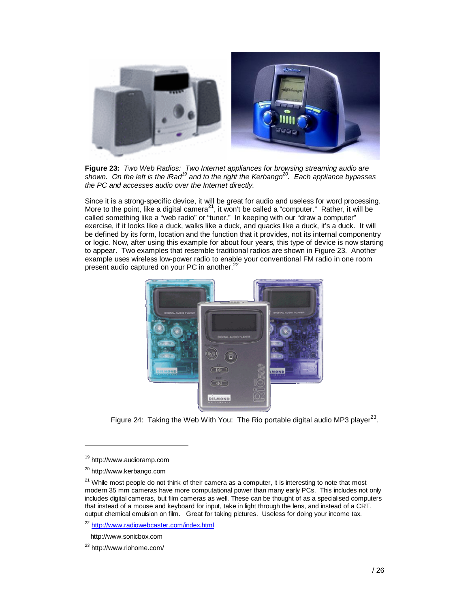

**Figure 23:** *Two Web Radios: Two Internet appliances for browsing streaming audio are shown. On the left is the iRad<sup>19</sup> and to the right the Kerbango<sup>20</sup>. Each appliance bypasses the PC and accesses audio over the Internet directly.*

Since it is a strong-specific device, it will be great for audio and useless for word processing. More to the point, like a digital camera<sup>21</sup>, it won't be called a "computer." Rather, it will be called something like a "web radio" or "tuner." In keeping with our "draw a computer" exercise, if it looks like a duck, walks like a duck, and quacks like a duck, it's a duck. It will be defined by its form, location and the function that it provides, not its internal componentry or logic. Now, after using this example for about four years, this type of device is now starting to appear. Two examples that resemble traditional radios are shown in Figure 23. Another example uses wireless low-power radio to enable your conventional FM radio in one room present audio captured on your PC in another.<sup>22</sup>



Figure 24: Taking the Web With You: The Rio portable digital audio MP3 player<sup>23</sup>.

<sup>19</sup><http://www.audioramp.com>

<sup>20</sup><http://www.kerbango.com>

 $21$  While most people do not think of their camera as a computer, it is interesting to note that most modern 35 mm cameras have more computational power than many early PCs. This includes not only includes digital cameras, but film cameras as well. These can be thought of as a specialised computers that instead of a mouse and keyboard for input, take in light through the lens, and instead of a CRT, output chemical emulsion on film. Great for taking pictures. Useless for doing your income tax.

<sup>22</sup> <http://www.radiowebcaster.com/index.html>

<http://www.sonicbox.com>

<sup>23</sup><http://www.riohome.com/>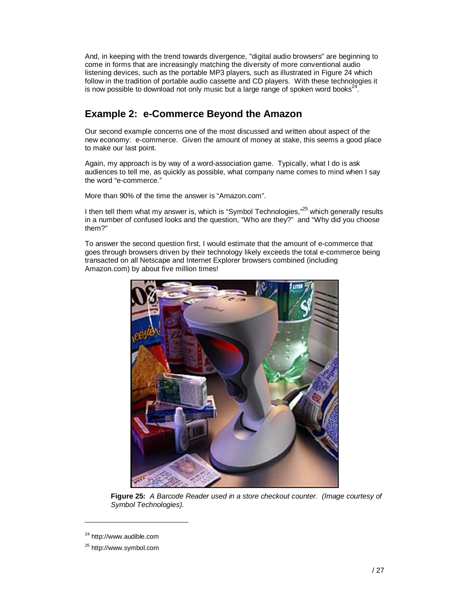And, in keeping with the trend towards divergence, "digital audio browsers" are beginning to come in forms that are increasingly matching the diversity of more conventional audio listening devices, such as the portable MP3 players, such as illustrated in Figure 24 which follow in the tradition of portable audio cassette and CD players. With these technologies it is now possible to download not only music but a large range of spoken word books<sup>24</sup>.

# **Example 2: e-Commerce Beyond the Amazon**

Our second example concerns one of the most discussed and written about aspect of the new economy: e-commerce. Given the amount of money at stake, this seems a good place to make our last point.

Again, my approach is by way of a word-association game. Typically, what I do is ask audiences to tell me, as quickly as possible, what company name comes to mind when I say the word "e-commerce."

More than 90% of the time the answer is "Amazon.com".

I then tell them what my answer is, which is "Symbol Technologies,"<sup>25</sup> which generally results in a number of confused looks and the question, "Who are they?" and "Why did you choose them?"

To answer the second question first, I would estimate that the amount of e-commerce that goes through browsers driven by their technology likely exceeds the total e-commerce being transacted on all Netscape and Internet Explorer browsers combined (including Amazon.com) by about five million times!



**Figure 25:** *A Barcode Reader used in a store checkout counter. (Image courtesy of Symbol Technologies).*

<sup>24</sup><http://www.audible.com>

<sup>25</sup><http://www.symbol.com>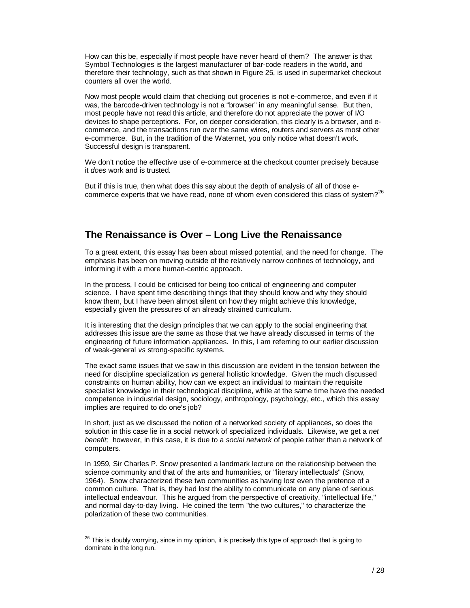How can this be, especially if most people have never heard of them? The answer is that Symbol Technologies is the largest manufacturer of bar-code readers in the world, and therefore their technology, such as that shown in Figure 25, is used in supermarket checkout counters all over the world.

Now most people would claim that checking out groceries is not e-commerce, and even if it was, the barcode-driven technology is not a "browser" in any meaningful sense. But then, most people have not read this article, and therefore do not appreciate the power of I/O devices to shape perceptions. For, on deeper consideration, this clearly is a browser, and ecommerce, and the transactions run over the same wires, routers and servers as most other e-commerce. But, in the tradition of the Waternet, you only notice what doesn't work. Successful design is transparent.

We don't notice the effective use of e-commerce at the checkout counter precisely because it *does* work and is trusted.

But if this is true, then what does this say about the depth of analysis of all of those ecommerce experts that we have read, none of whom even considered this class of system?<sup>26</sup>

# **The Renaissance is Over – Long Live the Renaissance**

To a great extent, this essay has been about missed potential, and the need for change. The emphasis has been on moving outside of the relatively narrow confines of technology, and informing it with a more human-centric approach.

In the process, I could be criticised for being too critical of engineering and computer science. I have spent time describing things that they should know and why they should know them, but I have been almost silent on how they might achieve this knowledge, especially given the pressures of an already strained curriculum.

It is interesting that the design principles that we can apply to the social engineering that addresses this issue are the same as those that we have already discussed in terms of the engineering of future information appliances. In this, I am referring to our earlier discussion of weak-general *vs* strong-specific systems.

The exact same issues that we saw in this discussion are evident in the tension between the need for discipline specialization *vs* general holistic knowledge. Given the much discussed constraints on human ability, how can we expect an individual to maintain the requisite specialist knowledge in their technological discipline, while at the same time have the needed competence in industrial design, sociology, anthropology, psychology, etc., which this essay implies are required to do one's job?

In short, just as we discussed the notion of a networked society of appliances, so does the solution in this case lie in a social network of specialized individuals. Likewise, we get a *net benefit;* however, in this case, it is due to a *social network* of people rather than a network of computers*.*

In 1959, Sir Charles P. Snow presented a landmark lecture on the relationship between the science community and that of the arts and humanities, or "literary intellectuals" (Snow, 1964). Snow characterized these two communities as having lost even the pretence of a common culture. That is, they had lost the ability to communicate on any plane of serious intellectual endeavour. This he argued from the perspective of creativity, "intellectual life," and normal day-to-day living. He coined the term "the two cultures," to characterize the polarization of these two communities.

 $26$  This is doubly worrying, since in my opinion, it is precisely this type of approach that is going to dominate in the long run.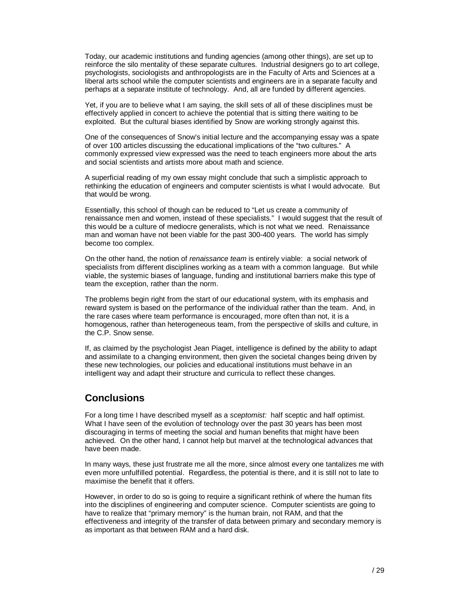Today, our academic institutions and funding agencies (among other things), are set up to reinforce the silo mentality of these separate cultures. Industrial designers go to art college, psychologists, sociologists and anthropologists are in the Faculty of Arts and Sciences at a liberal arts school while the computer scientists and engineers are in a separate faculty and perhaps at a separate institute of technology. And, all are funded by different agencies.

Yet, if you are to believe what I am saying, the skill sets of all of these disciplines must be effectively applied in concert to achieve the potential that is sitting there waiting to be exploited. But the cultural biases identified by Snow are working strongly against this.

One of the consequences of Snow's initial lecture and the accompanying essay was a spate of over 100 articles discussing the educational implications of the "two cultures." A commonly expressed view expressed was the need to teach engineers more about the arts and social scientists and artists more about math and science.

A superficial reading of my own essay might conclude that such a simplistic approach to rethinking the education of engineers and computer scientists is what I would advocate. But that would be wrong.

Essentially, this school of though can be reduced to "Let us create a community of renaissance men and women, instead of these specialists." I would suggest that the result of this would be a culture of mediocre generalists, which is not what we need. Renaissance man and woman have not been viable for the past 300-400 years. The world has simply become too complex.

On the other hand, the notion of *renaissance team* is entirely viable: a social network of specialists from different disciplines working as a team with a common language. But while viable, the systemic biases of language, funding and institutional barriers make this type of team the exception, rather than the norm.

The problems begin right from the start of our educational system, with its emphasis and reward system is based on the performance of the individual rather than the team. And, in the rare cases where team performance is encouraged, more often than not, it is a homogenous, rather than heterogeneous team, from the perspective of skills and culture, in the C.P. Snow sense.

If, as claimed by the psychologist Jean Piaget, intelligence is defined by the ability to adapt and assimilate to a changing environment, then given the societal changes being driven by these new technologies, our policies and educational institutions must behave in an intelligent way and adapt their structure and curricula to reflect these changes.

#### **Conclusions**

For a long time I have described myself as a *sceptomist:* half sceptic and half optimist. What I have seen of the evolution of technology over the past 30 years has been most discouraging in terms of meeting the social and human benefits that might have been achieved. On the other hand, I cannot help but marvel at the technological advances that have been made.

In many ways, these just frustrate me all the more, since almost every one tantalizes me with even more unfulfilled potential. Regardless, the potential is there, and it is still not to late to maximise the benefit that it offers.

However, in order to do so is going to require a significant rethink of where the human fits into the disciplines of engineering and computer science. Computer scientists are going to have to realize that "primary memory" is the human brain, not RAM, and that the effectiveness and integrity of the transfer of data between primary and secondary memory is as important as that between RAM and a hard disk.